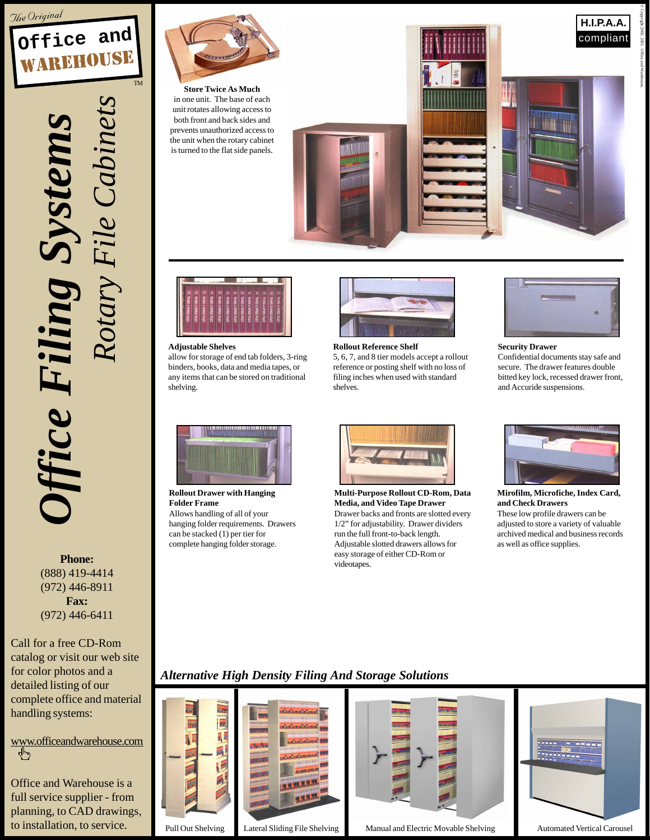



Office Filing Systems *Office Filing Systems Rotary File Cabinets*

**Phone:** (888) 419-4414 (972) 446-8911 **Fax:** (972) 446-6411

Call for a free CD-Rom catalog or visit our web site for color photos and a detailed listing of our complete office and material handling systems:

www.officeandwarehouse.com .Պ.,

Office and Warehouse is a full service supplier - from planning, to CAD drawings, to installation, to service.



**Store Twice As Much** in one unit. The base of each unit rotates allowing access to both front and back sides and prevents unauthorized access to the unit when the rotary cabinet is turned to the flat side panels.





**Adjustable Shelves**

allow for storage of end tab folders, 3-ring binders, books, data and media tapes, or any items that can be stored on traditional shelving.



5, 6, 7, and 8 tier models accept a rollout reference or posting shelf with no loss of filing inches when used with standard shelves.



© Copyright 2000, 2001. Office and Warehouse.

## **Security Drawer**

Confidential documents stay safe and secure. The drawer features double bitted key lock, recessed drawer front, and Accuride suspensions.



**Rollout Drawer with Hanging Folder Frame** Allows handling of all of your hanging folder requirements. Drawers can be stacked (1) per tier for complete hanging folder storage.



**Multi-Purpose Rollout CD-Rom, Data Media, and Video Tape Drawer** Drawer backs and fronts are slotted every 1/2" for adjustability. Drawer dividers run the full front-to-back length. Adjustable slotted drawers allows for easy storage of either CD-Rom or videotapes.



**Mirofilm, Microfiche, Index Card, and Check Drawers** These low profile drawers can be adjusted to store a variety of valuable archived medical and business records as well as office supplies.

## *Alternative High Density Filing And Storage Solutions*





Pull Out Shelving Lateral Sliding File Shelving Manual and Electric Movable Shelving Automated Vertical Carousel